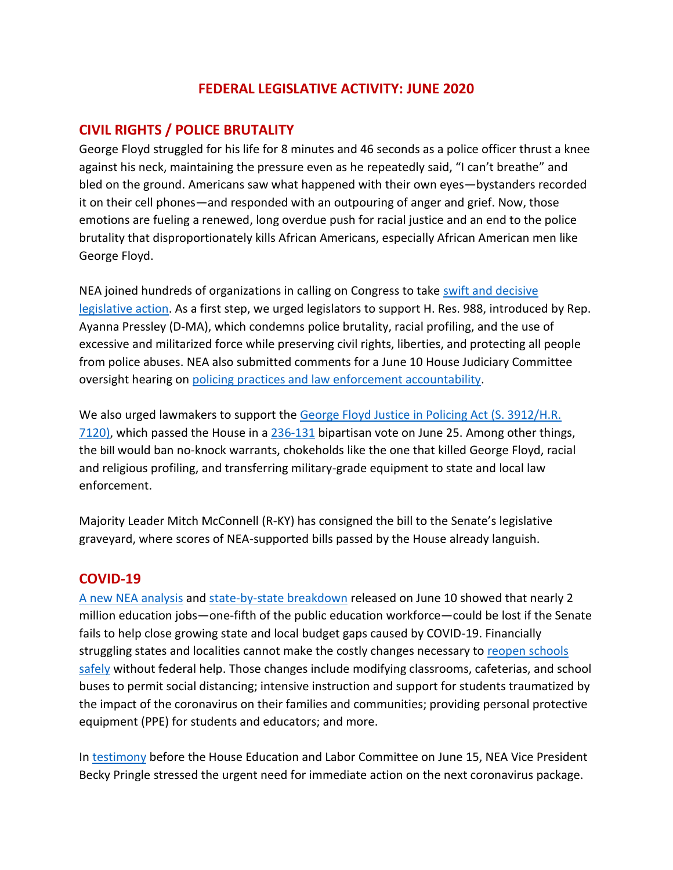### **FEDERAL LEGISLATIVE ACTIVITY: JUNE 2020**

#### **CIVIL RIGHTS / POLICE BRUTALITY**

George Floyd struggled for his life for 8 minutes and 46 seconds as a police officer thrust a knee against his neck, maintaining the pressure even as he repeatedly said, "I can't breathe" and bled on the ground. Americans saw what happened with their own eyes—bystanders recorded it on their cell phones—and responded with an outpouring of anger and grief. Now, those emotions are fueling a renewed, long overdue push for racial justice and an end to the police brutality that disproportionately kills African Americans, especially African American men like George Floyd.

NEA joined hundreds of organizations in calling on Congress to take [swift and decisive](http://civilrightsdocs.info/pdf/policy/letters/2020/Coalition_Letter_to_House_and_Senate_Leadership_on_Federal_Policing_Priorites_Final_6.1.20.pdf)  [legislative action.](http://civilrightsdocs.info/pdf/policy/letters/2020/Coalition_Letter_to_House_and_Senate_Leadership_on_Federal_Policing_Priorites_Final_6.1.20.pdf) As a first step, we urged legislators to support H. Res. 988, introduced by Rep. Ayanna Pressley (D-MA), which condemns police brutality, racial profiling, and the use of excessive and militarized force while preserving civil rights, liberties, and protecting all people from police abuses. NEA also submitted comments for a June 10 House Judiciary Committee oversight hearing on [policing practices and law enforcement accountability.](https://educationvotes.nea.org/wp-content/uploads/2020/06/House-Comm-on-Judicary-Policing-Reform-060920.pdf)

We also urged lawmakers to support the George Floyd Justice in Policing Act (S. 3912/H.R. [7120\),](https://educationvotes.nea.org/wp-content/uploads/2020/06/H.R-7120-Justice-in-Policing-Floor-Vote-062420.pdf) which passed the House in a [236-131](http://clerk.house.gov/evs/2020/roll119.xml) bipartisan vote on June 25. Among other things, the bill would ban no-knock warrants, chokeholds like the one that killed George Floyd, racial and religious profiling, and transferring military-grade equipment to state and local law enforcement.

Majority Leader Mitch McConnell (R-KY) has consigned the bill to the Senate's legislative graveyard, where scores of NEA-supported bills passed by the House already languish.

#### **COVID-19**

[A new NEA analysis](https://educationvotes.nea.org/wp-content/uploads/2020/06/COVID-State-Stats-Senate-061020.pdf) and [state-by-state breakdown](https://educationvotes.nea.org/wp-content/uploads/2020/06/Revised-NEA-Estimates-in-Support-of-the-HEROES-Act-06-06-2020.pdf?_ga=2.17671737.1424969520.1591579607-1012899167.1494591151) released on June 10 showed that nearly 2 million education jobs—one-fifth of the public education workforce—could be lost if the Senate fails to help close growing state and local budget gaps caused by COVID-19. Financially struggling states and localities cannot make the costly changes necessary to reopen schools [safely](https://educationvotes.nea.org/wp-content/uploads/2020/06/COVID-Reopening-Schls-HELP-Cmte-060820.pdf) without federal help. Those changes include modifying classrooms, cafeterias, and school buses to permit social distancing; intensive instruction and support for students traumatized by the impact of the coronavirus on their families and communities; providing personal protective equipment (PPE) for students and educators; and more.

In [testimony](https://edlabor.house.gov/imo/media/doc/PringleBeckyTestimony06152020.pdf) before the House Education and Labor Committee on June 15, NEA Vice President Becky Pringle stressed the urgent need for immediate action on the next coronavirus package.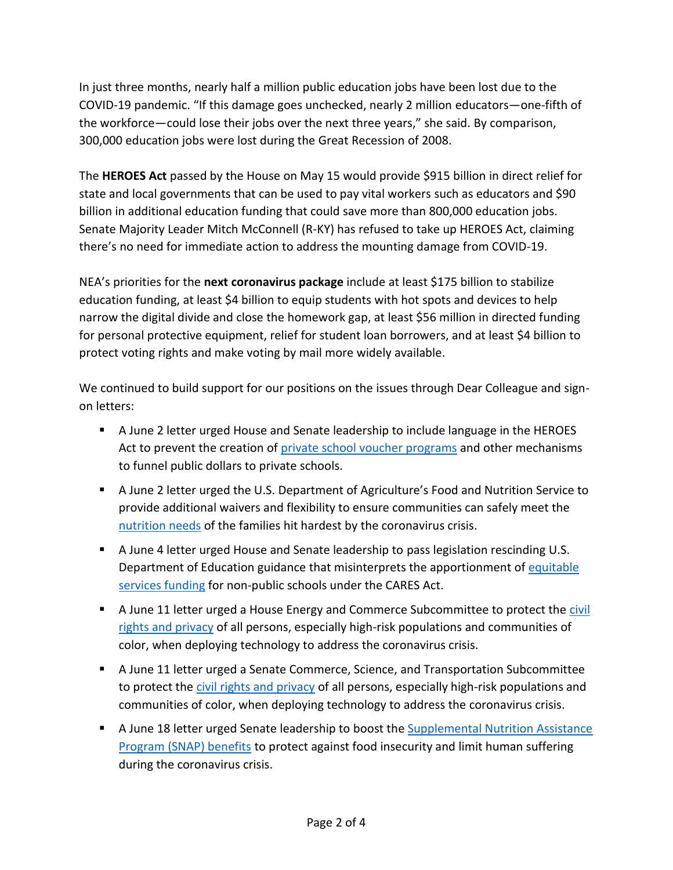In just three months, nearly half a million public education jobs have been lost due to the COVID-19 pandemic. "If this damage goes unchecked, nearly 2 million educators—one-fifth of the workforce—could lose their jobs over the next three years," she said. By comparison, 300,000 education jobs were lost during the Great Recession of 2008.

The **HEROES Act** passed by the House on May 15 would provide \$915 billion in direct relief for state and local governments that can be used to pay vital workers such as educators and \$90 billion in additional education funding that could save more than 800,000 education jobs. Senate Majority Leader Mitch McConnell (R-KY) has refused to take up HEROES Act, claiming there's no need for immediate action to address the mounting damage from COVID-19.

NEA's priorities for the **next coronavirus package** include at least \$175 billion to stabilize education funding, at least \$4 billion to equip students with hot spots and devices to help narrow the digital divide and close the homework gap, at least \$56 million in directed funding for personal protective equipment, relief for student loan borrowers, and at least \$4 billion to protect voting rights and make voting by mail more widely available.

We continued to build support for our positions on the issues through Dear Colleague and signon letters:

- A June 2 letter urged House and Senate leadership to include language in the HEROES Act to prevent the creation of [private school voucher programs](https://educationvotes.nea.org/wp-content/uploads/2020/06/NCPE-Support-Voucher-Language-in-HEROES-Act-FINAL.pdf) and other mechanisms to funnel public dollars to private schools.
- A June 2 letter urged the U.S. Department of Agriculture's Food and Nutrition Service to provide additional waivers and flexibility to ensure communities can safely meet the [nutrition needs](https://educationvotes.nea.org/wp-content/uploads/2020/06/USDA-Child-Nutrition-Waiver-Extensions-Letter-6-2-20.pdf) of the families hit hardest by the coronavirus crisis.
- A June 4 letter urged House and Senate leadership to pass legislation rescinding U.S. Department of Education guidance that misinterprets the apportionment of equitable [services funding](https://educationvotes.nea.org/wp-content/uploads/2020/06/Equitable-Services-Funding-Letter-FINAL.pdf) for non-public schools under the CARES Act.
- A June 11 letter urged a House Energy and Commerce Subcommittee to protect the civil [rights and privacy](https://educationvotes.nea.org/wp-content/uploads/2020/06/COVID-19-Privacy-Civil-Rights-Principles_Coalition-Letter_House.pdf) of all persons, especially high-risk populations and communities of color, when deploying technology to address the coronavirus crisis.
- A June 11 letter urged a Senate Commerce, Science, and Transportation Subcommittee to protect the [civil rights and privacy](https://educationvotes.nea.org/wp-content/uploads/2020/06/COVID-19-Privacy-Civil-Rights-Principles_Coalition-Letter_Senate.pdf) of all persons, especially high-risk populations and communities of color, when deploying technology to address the coronavirus crisis.
- A June 18 letter urged Senate leadership to boost the Supplemental Nutrition Assistance [Program \(SNAP\) benefits](https://educationvotes.nea.org/wp-content/uploads/2020/06/FINAL-Senate-Letter-18June2020.pdf) to protect against food insecurity and limit human suffering during the coronavirus crisis.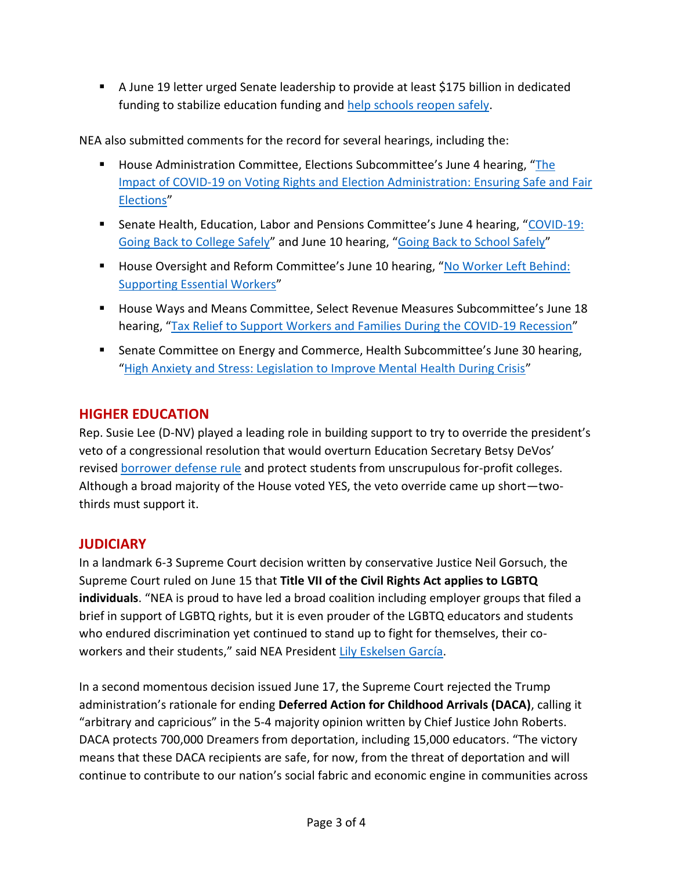■ A June 19 letter urged Senate leadership to provide at least \$175 billion in dedicated funding to stabilize education funding and [help schools reopen safely.](https://educationvotes.nea.org/wp-content/uploads/2020/06/Ltr-to-Leadership-Re-Education-Stabilization-Fund.pdf)

NEA also submitted comments for the record for several hearings, including the:

- House Administration Committee, Elections Subcommittee's June 4 hearing, "The [Impact of COVID-19 on Voting Rights and Election Administration: Ensuring Safe and Fair](https://educationvotes.nea.org/wp-content/uploads/2020/06/House-Admin-Subcomm.-Hrg-on-COVID-and-Elections.pdf)  [Elections](https://educationvotes.nea.org/wp-content/uploads/2020/06/House-Admin-Subcomm.-Hrg-on-COVID-and-Elections.pdf)"
- Senate Health, Education, Labor and Pensions Committee's June 4 hearing, "COVID-19: [Going Back to College Safely](https://educationvotes.nea.org/wp-content/uploads/2020/06/Sen-HELP-hrg-on-Returning-to-College-Safey-060320.pdf)" and June 10 hearing, "[Going Back to School Safely](https://educationvotes.nea.org/wp-content/uploads/2020/06/COVID-Reopening-Schls-HELP-Cmte-060820.pdf)"
- House Oversight and Reform Committee's June 10 hearing, "No Worker Left Behind: [Supporting Essential Workers](https://educationvotes.nea.org/wp-content/uploads/2020/06/House-Comm-on-Oversight-Reform-Essential-Workers-hrg-061020.pdf)"
- House Ways and Means Committee, Select Revenue Measures Subcommittee's June 18 hearing, "[Tax Relief to Support Workers and Families During the COVID-19 Recession](https://educationvotes.nea.org/wp-content/uploads/2020/06/COVID-hrg-taxes-061720.pdf)"
- **EXECOMMITEL SHEALT SHEALT SETA COMMET COMMON EVALUATE:** Sume 30 hearing, "[High Anxiety and Stress: Legislation to Improve Mental Health During Crisis](https://educationvotes.nea.org/wp-content/uploads/2020/06/Mental-health-hrg-062920.pdf)"

## **HIGHER EDUCATION**

Rep. Susie Lee (D-NV) played a leading role in building support to try to override the president's veto of a congressional resolution that would overturn Education Secretary Betsy DeVos' revised [borrower defense rule](https://educationvotes.nea.org/wp-content/uploads/2020/06/H.J.-Res-76-Borrower-Defense-to-Repayment-062220.pdf) and protect students from unscrupulous for-profit colleges. Although a broad majority of the House voted YES, the veto override came up short—twothirds must support it.

# **JUDICIARY**

In a landmark 6-3 Supreme Court decision written by conservative Justice Neil Gorsuch, the Supreme Court ruled on June 15 that **Title VII of the Civil Rights Act applies to LGBTQ individuals**. "NEA is proud to have led a broad coalition including employer groups that filed a brief in support of LGBTQ rights, but it is even prouder of the LGBTQ educators and students who endured discrimination yet continued to stand up to fight for themselves, their co-workers and their students," said NEA President [Lily Eskelsen García.](http://www.nea.org/home/76203.htm)

In a second momentous decision issued June 17, the Supreme Court rejected the Trump administration's rationale for ending **Deferred Action for Childhood Arrivals (DACA)**, calling it "arbitrary and capricious" in the 5-4 majority opinion written by Chief Justice John Roberts. DACA protects 700,000 Dreamers from deportation, including 15,000 educators. "The victory means that these DACA recipients are safe, for now, from the threat of deportation and will continue to contribute to our nation's social fabric and economic engine in communities across